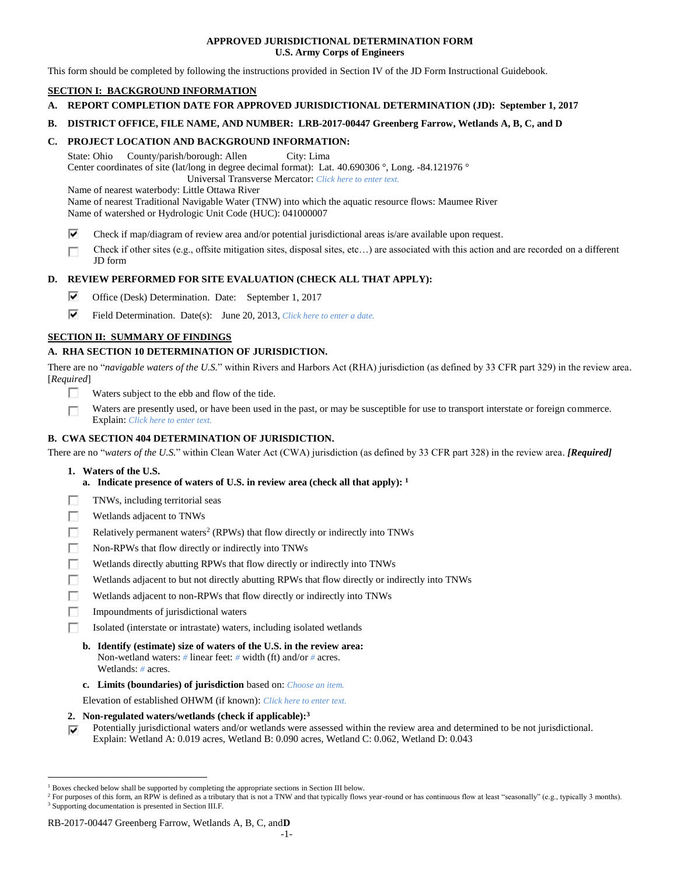### **APPROVED JURISDICTIONAL DETERMINATION FORM U.S. Army Corps of Engineers**

This form should be completed by following the instructions provided in Section IV of the JD Form Instructional Guidebook.

## **SECTION I: BACKGROUND INFORMATION**

- **A. REPORT COMPLETION DATE FOR APPROVED JURISDICTIONAL DETERMINATION (JD): September 1, 2017**
- **B. DISTRICT OFFICE, FILE NAME, AND NUMBER: LRB-2017-00447 Greenberg Farrow, Wetlands A, B, C, and D**

### **C. PROJECT LOCATION AND BACKGROUND INFORMATION:**

State: Ohio County/parish/borough: Allen City: Lima Center coordinates of site (lat/long in degree decimal format): Lat. 40.690306 °, Long. -84.121976 ° Universal Transverse Mercator: *Click here to enter text.*

Name of nearest waterbody: Little Ottawa River

Name of nearest Traditional Navigable Water (TNW) into which the aquatic resource flows: Maumee River Name of watershed or Hydrologic Unit Code (HUC): 041000007

- ⊽ Check if map/diagram of review area and/or potential jurisdictional areas is/are available upon request.
- Check if other sites (e.g., offsite mitigation sites, disposal sites, etc…) are associated with this action and are recorded on a different п JD form

## **D. REVIEW PERFORMED FOR SITE EVALUATION (CHECK ALL THAT APPLY):**

- ⊽ Office (Desk) Determination. Date: September 1, 2017
- ⊽ Field Determination. Date(s): June 20, 2013, *Click here to enter a date.*

## **SECTION II: SUMMARY OF FINDINGS**

## **A. RHA SECTION 10 DETERMINATION OF JURISDICTION.**

There are no "*navigable waters of the U.S.*" within Rivers and Harbors Act (RHA) jurisdiction (as defined by 33 CFR part 329) in the review area. [*Required*]

- п. Waters subject to the ebb and flow of the tide.
- Waters are presently used, or have been used in the past, or may be susceptible for use to transport interstate or foreign commerce. П Explain: *Click here to enter text.*

## **B. CWA SECTION 404 DETERMINATION OF JURISDICTION.**

There are no "*waters of the U.S.*" within Clean Water Act (CWA) jurisdiction (as defined by 33 CFR part 328) in the review area. *[Required]*

**1. Waters of the U.S.**

 $\overline{a}$ 

- **a. Indicate presence of waters of U.S. in review area (check all that apply): 1**
- Е TNWs, including territorial seas
- П Wetlands adjacent to TNWs
- г Relatively permanent waters<sup>2</sup> (RPWs) that flow directly or indirectly into TNWs
- г Non-RPWs that flow directly or indirectly into TNWs
- П Wetlands directly abutting RPWs that flow directly or indirectly into TNWs
- Wetlands adjacent to but not directly abutting RPWs that flow directly or indirectly into TNWs Е
- Wetlands adjacent to non-RPWs that flow directly or indirectly into TNWs г
- п Impoundments of jurisdictional waters
- П. Isolated (interstate or intrastate) waters, including isolated wetlands
	- **b. Identify (estimate) size of waters of the U.S. in the review area:** Non-wetland waters: *#* linear feet: *#* width (ft) and/or *#* acres. Wetlands: *#* acres.
	- **c. Limits (boundaries) of jurisdiction** based on: *Choose an item.*

Elevation of established OHWM (if known): *Click here to enter text.*

- **2. Non-regulated waters/wetlands (check if applicable): 3**
- Potentially jurisdictional waters and/or wetlands were assessed within the review area and determined to be not jurisdictional. ⊽ Explain: Wetland A: 0.019 acres, Wetland B: 0.090 acres, Wetland C: 0.062, Wetland D: 0.043

<sup>1</sup> Boxes checked below shall be supported by completing the appropriate sections in Section III below.

<sup>&</sup>lt;sup>2</sup> For purposes of this form, an RPW is defined as a tributary that is not a TNW and that typically flows year-round or has continuous flow at least "seasonally" (e.g., typically 3 months). <sup>3</sup> Supporting documentation is presented in Section III.F.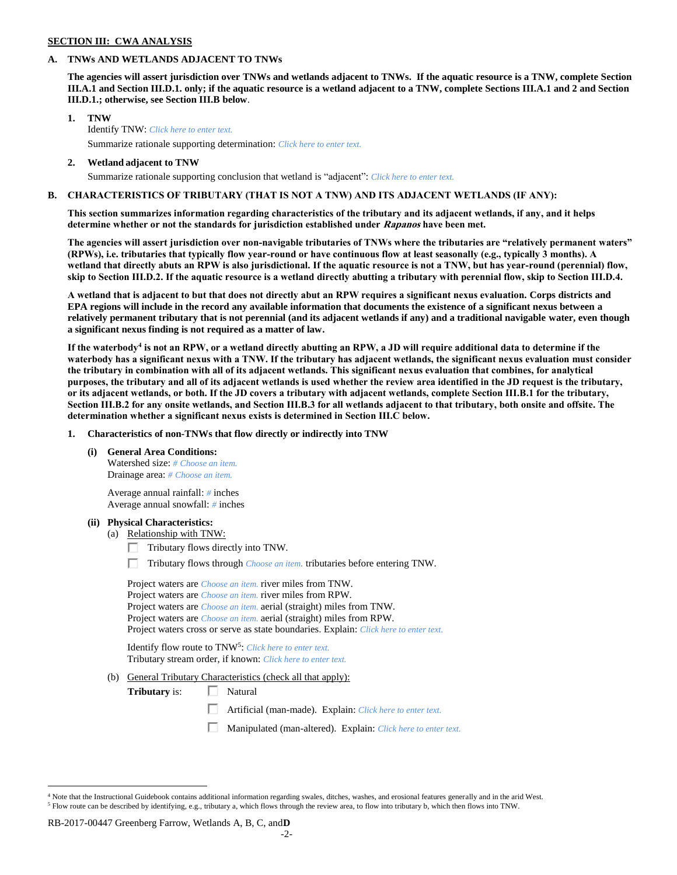### **SECTION III: CWA ANALYSIS**

## **A. TNWs AND WETLANDS ADJACENT TO TNWs**

**The agencies will assert jurisdiction over TNWs and wetlands adjacent to TNWs. If the aquatic resource is a TNW, complete Section III.A.1 and Section III.D.1. only; if the aquatic resource is a wetland adjacent to a TNW, complete Sections III.A.1 and 2 and Section III.D.1.; otherwise, see Section III.B below**.

- **1. TNW**  Identify TNW: *Click here to enter text.* Summarize rationale supporting determination: *Click here to enter text.*
- **2. Wetland adjacent to TNW** Summarize rationale supporting conclusion that wetland is "adjacent": *Click here to enter text.*

## **B. CHARACTERISTICS OF TRIBUTARY (THAT IS NOT A TNW) AND ITS ADJACENT WETLANDS (IF ANY):**

**This section summarizes information regarding characteristics of the tributary and its adjacent wetlands, if any, and it helps determine whether or not the standards for jurisdiction established under Rapanos have been met.** 

**The agencies will assert jurisdiction over non-navigable tributaries of TNWs where the tributaries are "relatively permanent waters" (RPWs), i.e. tributaries that typically flow year-round or have continuous flow at least seasonally (e.g., typically 3 months). A wetland that directly abuts an RPW is also jurisdictional. If the aquatic resource is not a TNW, but has year-round (perennial) flow, skip to Section III.D.2. If the aquatic resource is a wetland directly abutting a tributary with perennial flow, skip to Section III.D.4.**

**A wetland that is adjacent to but that does not directly abut an RPW requires a significant nexus evaluation. Corps districts and EPA regions will include in the record any available information that documents the existence of a significant nexus between a relatively permanent tributary that is not perennial (and its adjacent wetlands if any) and a traditional navigable water, even though a significant nexus finding is not required as a matter of law.**

**If the waterbody<sup>4</sup> is not an RPW, or a wetland directly abutting an RPW, a JD will require additional data to determine if the waterbody has a significant nexus with a TNW. If the tributary has adjacent wetlands, the significant nexus evaluation must consider the tributary in combination with all of its adjacent wetlands. This significant nexus evaluation that combines, for analytical purposes, the tributary and all of its adjacent wetlands is used whether the review area identified in the JD request is the tributary, or its adjacent wetlands, or both. If the JD covers a tributary with adjacent wetlands, complete Section III.B.1 for the tributary, Section III.B.2 for any onsite wetlands, and Section III.B.3 for all wetlands adjacent to that tributary, both onsite and offsite. The determination whether a significant nexus exists is determined in Section III.C below.**

**1. Characteristics of non-TNWs that flow directly or indirectly into TNW**

**(i) General Area Conditions:**

Watershed size: *# Choose an item.* Drainage area: *# Choose an item.*

Average annual rainfall: *#* inches Average annual snowfall: *#* inches

### **(ii) Physical Characteristics:**

- (a) Relationship with TNW:
	- $\Box$  Tributary flows directly into TNW.

п. Tributary flows through *Choose an item.* tributaries before entering TNW.

Project waters are *Choose an item.* river miles from TNW. Project waters are *Choose an item.* river miles from RPW. Project waters are *Choose an item.* aerial (straight) miles from TNW. Project waters are *Choose an item.* aerial (straight) miles from RPW. Project waters cross or serve as state boundaries. Explain: *Click here to enter text.*

Identify flow route to TNW<sup>5</sup>: Click here to enter text. Tributary stream order, if known: *Click here to enter text.*

(b) General Tributary Characteristics (check all that apply):

**Tributary** is:  $\Box$  Natural

- 口 Artificial (man-made). Explain: *Click here to enter text.*
- Manipulated (man-altered). Explain: *Click here to enter text.*

 $\overline{a}$ 

<sup>&</sup>lt;sup>4</sup> Note that the Instructional Guidebook contains additional information regarding swales, ditches, washes, and erosional features generally and in the arid West. <sup>5</sup> Flow route can be described by identifying, e.g., tributary a, which flows through the review area, to flow into tributary b, which then flows into TNW.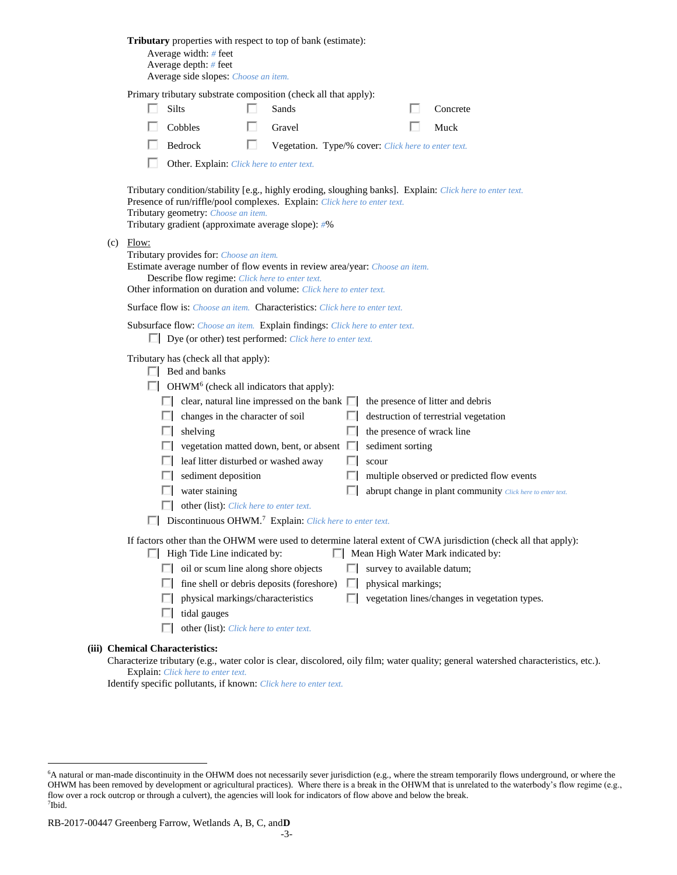|                                                                                                                                                                                                                                                                 | <b>Tributary</b> properties with respect to top of bank (estimate):<br>Average width: # feet<br>Average depth: $#$ feet<br>Average side slopes: Choose an item.                               |                                                                                                                                                                                                                                                                                     |   |                                                     |   |                            |  |                                                                                                                                     |  |  |  |  |  |
|-----------------------------------------------------------------------------------------------------------------------------------------------------------------------------------------------------------------------------------------------------------------|-----------------------------------------------------------------------------------------------------------------------------------------------------------------------------------------------|-------------------------------------------------------------------------------------------------------------------------------------------------------------------------------------------------------------------------------------------------------------------------------------|---|-----------------------------------------------------|---|----------------------------|--|-------------------------------------------------------------------------------------------------------------------------------------|--|--|--|--|--|
|                                                                                                                                                                                                                                                                 | Primary tributary substrate composition (check all that apply):                                                                                                                               |                                                                                                                                                                                                                                                                                     |   |                                                     |   |                            |  |                                                                                                                                     |  |  |  |  |  |
|                                                                                                                                                                                                                                                                 |                                                                                                                                                                                               | <b>Silts</b>                                                                                                                                                                                                                                                                        |   | Sands                                               |   |                            |  | Concrete                                                                                                                            |  |  |  |  |  |
|                                                                                                                                                                                                                                                                 |                                                                                                                                                                                               | Cobbles                                                                                                                                                                                                                                                                             |   | Gravel                                              |   |                            |  | Muck                                                                                                                                |  |  |  |  |  |
|                                                                                                                                                                                                                                                                 |                                                                                                                                                                                               | Bedrock                                                                                                                                                                                                                                                                             | п | Vegetation. Type/% cover: Click here to enter text. |   |                            |  |                                                                                                                                     |  |  |  |  |  |
| Other. Explain: Click here to enter text.                                                                                                                                                                                                                       |                                                                                                                                                                                               |                                                                                                                                                                                                                                                                                     |   |                                                     |   |                            |  |                                                                                                                                     |  |  |  |  |  |
|                                                                                                                                                                                                                                                                 |                                                                                                                                                                                               | Tributary condition/stability [e.g., highly eroding, sloughing banks]. Explain: Click here to enter text.<br>Presence of run/riffle/pool complexes. Explain: Click here to enter text.<br>Tributary geometry: Choose an item.<br>Tributary gradient (approximate average slope): #% |   |                                                     |   |                            |  |                                                                                                                                     |  |  |  |  |  |
| $(c)$ Flow:<br>Tributary provides for: Choose an item.<br>Estimate average number of flow events in review area/year: Choose an item.<br>Describe flow regime: Click here to enter text.<br>Other information on duration and volume: Click here to enter text. |                                                                                                                                                                                               |                                                                                                                                                                                                                                                                                     |   |                                                     |   |                            |  |                                                                                                                                     |  |  |  |  |  |
|                                                                                                                                                                                                                                                                 |                                                                                                                                                                                               | <b>Surface flow is:</b> Choose an item. <b>Characteristics:</b> Click here to enter text.                                                                                                                                                                                           |   |                                                     |   |                            |  |                                                                                                                                     |  |  |  |  |  |
|                                                                                                                                                                                                                                                                 |                                                                                                                                                                                               | Subsurface flow: Choose an item. Explain findings: Click here to enter text.<br>$\Box$ Dye (or other) test performed: <i>Click here to enter text.</i>                                                                                                                              |   |                                                     |   |                            |  |                                                                                                                                     |  |  |  |  |  |
|                                                                                                                                                                                                                                                                 | Tributary has (check all that apply):<br>$\Box$ Bed and banks<br>$\Box$ OHWM <sup>6</sup> (check all indicators that apply):                                                                  |                                                                                                                                                                                                                                                                                     |   |                                                     |   |                            |  |                                                                                                                                     |  |  |  |  |  |
|                                                                                                                                                                                                                                                                 |                                                                                                                                                                                               | $\Box$ clear, natural line impressed on the bank $\Box$                                                                                                                                                                                                                             |   |                                                     |   |                            |  | the presence of litter and debris                                                                                                   |  |  |  |  |  |
|                                                                                                                                                                                                                                                                 |                                                                                                                                                                                               | $\Box$ changes in the character of soil                                                                                                                                                                                                                                             |   |                                                     |   |                            |  | destruction of terrestrial vegetation                                                                                               |  |  |  |  |  |
|                                                                                                                                                                                                                                                                 |                                                                                                                                                                                               | shelving<br>UL.                                                                                                                                                                                                                                                                     |   |                                                     | ш | the presence of wrack line |  |                                                                                                                                     |  |  |  |  |  |
|                                                                                                                                                                                                                                                                 |                                                                                                                                                                                               | vegetation matted down, bent, or absent                                                                                                                                                                                                                                             |   |                                                     | ш | sediment sorting           |  |                                                                                                                                     |  |  |  |  |  |
|                                                                                                                                                                                                                                                                 |                                                                                                                                                                                               | $\Box$ leaf litter disturbed or washed away                                                                                                                                                                                                                                         |   |                                                     | H | scour                      |  |                                                                                                                                     |  |  |  |  |  |
|                                                                                                                                                                                                                                                                 |                                                                                                                                                                                               | $\Box$ sediment deposition                                                                                                                                                                                                                                                          |   |                                                     |   |                            |  | multiple observed or predicted flow events                                                                                          |  |  |  |  |  |
|                                                                                                                                                                                                                                                                 |                                                                                                                                                                                               | water staining                                                                                                                                                                                                                                                                      |   |                                                     |   |                            |  | abrupt change in plant community Click here to enter text.                                                                          |  |  |  |  |  |
|                                                                                                                                                                                                                                                                 |                                                                                                                                                                                               | other (list): Click here to enter text.                                                                                                                                                                                                                                             |   |                                                     |   |                            |  |                                                                                                                                     |  |  |  |  |  |
|                                                                                                                                                                                                                                                                 | $\Box$ Discontinuous OHWM. <sup>7</sup> Explain: Click here to enter text.                                                                                                                    |                                                                                                                                                                                                                                                                                     |   |                                                     |   |                            |  |                                                                                                                                     |  |  |  |  |  |
|                                                                                                                                                                                                                                                                 | If factors other than the OHWM were used to determine lateral extent of CWA jurisdiction (check all that apply):<br>Mean High Water Mark indicated by:<br>$\Box$ High Tide Line indicated by: |                                                                                                                                                                                                                                                                                     |   |                                                     |   |                            |  |                                                                                                                                     |  |  |  |  |  |
|                                                                                                                                                                                                                                                                 |                                                                                                                                                                                               | $\Box$ oil or scum line along shore objects                                                                                                                                                                                                                                         |   |                                                     | ш |                            |  | survey to available datum;                                                                                                          |  |  |  |  |  |
|                                                                                                                                                                                                                                                                 |                                                                                                                                                                                               | ш                                                                                                                                                                                                                                                                                   |   | fine shell or debris deposits (foreshore)           | ш | physical markings;         |  |                                                                                                                                     |  |  |  |  |  |
|                                                                                                                                                                                                                                                                 |                                                                                                                                                                                               | physical markings/characteristics<br>ш                                                                                                                                                                                                                                              |   |                                                     | П |                            |  | vegetation lines/changes in vegetation types.                                                                                       |  |  |  |  |  |
|                                                                                                                                                                                                                                                                 |                                                                                                                                                                                               | tidal gauges<br>ш                                                                                                                                                                                                                                                                   |   |                                                     |   |                            |  |                                                                                                                                     |  |  |  |  |  |
|                                                                                                                                                                                                                                                                 |                                                                                                                                                                                               | other (list): Click here to enter text.<br>ш                                                                                                                                                                                                                                        |   |                                                     |   |                            |  |                                                                                                                                     |  |  |  |  |  |
|                                                                                                                                                                                                                                                                 |                                                                                                                                                                                               | <b>Chemical Characteristics:</b>                                                                                                                                                                                                                                                    |   |                                                     |   |                            |  | Characterize tributary (e.g., water color is clear, discolored, oily film; water quality; general watershed characteristics, etc.). |  |  |  |  |  |

Explain: *Click here to enter text.*

**(iii)** 

 $\overline{a}$ 

Identify specific pollutants, if known: *Click here to enter text.*

<sup>6</sup>A natural or man-made discontinuity in the OHWM does not necessarily sever jurisdiction (e.g., where the stream temporarily flows underground, or where the OHWM has been removed by development or agricultural practices). Where there is a break in the OHWM that is unrelated to the waterbody's flow regime (e.g., flow over a rock outcrop or through a culvert), the agencies will look for indicators of flow above and below the break. 7 Ibid.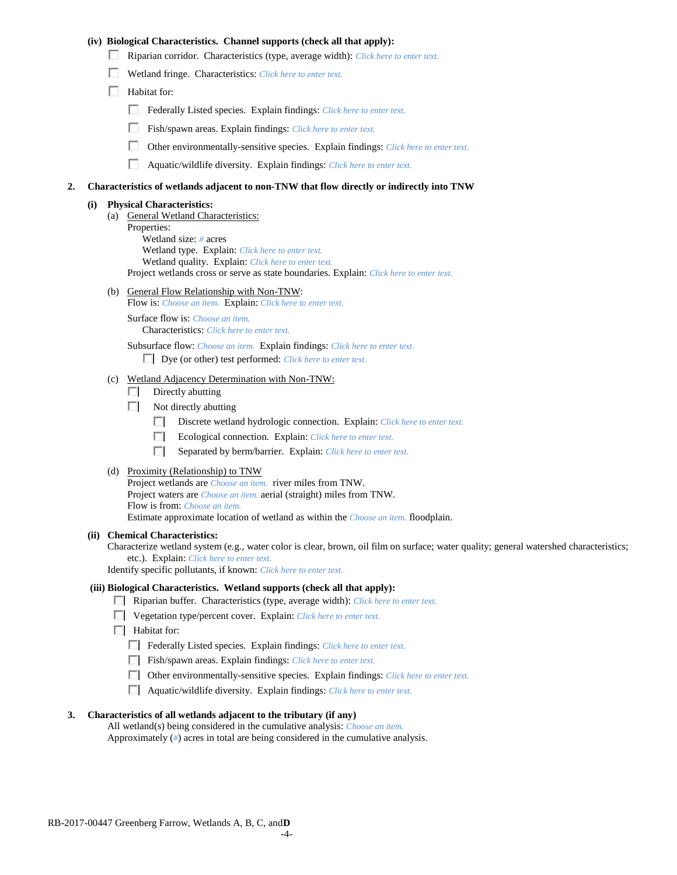### **(iv) Biological Characteristics. Channel supports (check all that apply):**

- Riparian corridor. Characteristics (type, average width): *Click here to enter text.*
- Wetland fringe. Characteristics: *Click here to enter text.*
- $\Box$  Habitat for:
	- Federally Listed species. Explain findings: *Click here to enter text.*
	- П. Fish/spawn areas. Explain findings: *Click here to enter text.*
	- п. Other environmentally-sensitive species. Explain findings: *Click here to enter text.*
	- П. Aquatic/wildlife diversity. Explain findings: *Click here to enter text.*

#### **2. Characteristics of wetlands adjacent to non-TNW that flow directly or indirectly into TNW**

#### **(i) Physical Characteristics:**

- (a) General Wetland Characteristics:
	- Properties:

Wetland size: *#* acres Wetland type. Explain: *Click here to enter text.*

Wetland quality. Explain: *Click here to enter text.*

Project wetlands cross or serve as state boundaries. Explain: *Click here to enter text.*

(b) General Flow Relationship with Non-TNW: Flow is: *Choose an item.* Explain: *Click here to enter text.*

Surface flow is: *Choose an item.* Characteristics: *Click here to enter text.*

Subsurface flow: *Choose an item.* Explain findings: *Click here to enter text.*

Dye (or other) test performed: *Click here to enter text.*

### (c) Wetland Adjacency Determination with Non-TNW:

- $\Box$  Directly abutting
- Not directly abutting
	- Discrete wetland hydrologic connection. Explain: *Click here to enter text.*
	- $\Box$ Ecological connection. Explain: *Click here to enter text.*
	- $\Box$ Separated by berm/barrier. Explain: *Click here to enter text.*
- (d) Proximity (Relationship) to TNW

Project wetlands are *Choose an item.* river miles from TNW. Project waters are *Choose an item.* aerial (straight) miles from TNW. Flow is from: *Choose an item.* Estimate approximate location of wetland as within the *Choose an item.* floodplain.

#### **(ii) Chemical Characteristics:**

Characterize wetland system (e.g., water color is clear, brown, oil film on surface; water quality; general watershed characteristics; etc.). Explain: *Click here to enter text.*

Identify specific pollutants, if known: *Click here to enter text.*

### **(iii) Biological Characteristics. Wetland supports (check all that apply):**

- Riparian buffer. Characteristics (type, average width): *Click here to enter text.*
- Vegetation type/percent cover. Explain: *Click here to enter text.*
- **Habitat for:** 
	- Federally Listed species. Explain findings: *Click here to enter text*.
	- Fish/spawn areas. Explain findings: *Click here to enter text*.
	- Other environmentally-sensitive species. Explain findings: *Click here to enter text.*
	- Aquatic/wildlife diversity. Explain findings: *Click here to enter text.*

### **3. Characteristics of all wetlands adjacent to the tributary (if any)**

All wetland(s) being considered in the cumulative analysis: *Choose an item.* Approximately (*#*) acres in total are being considered in the cumulative analysis.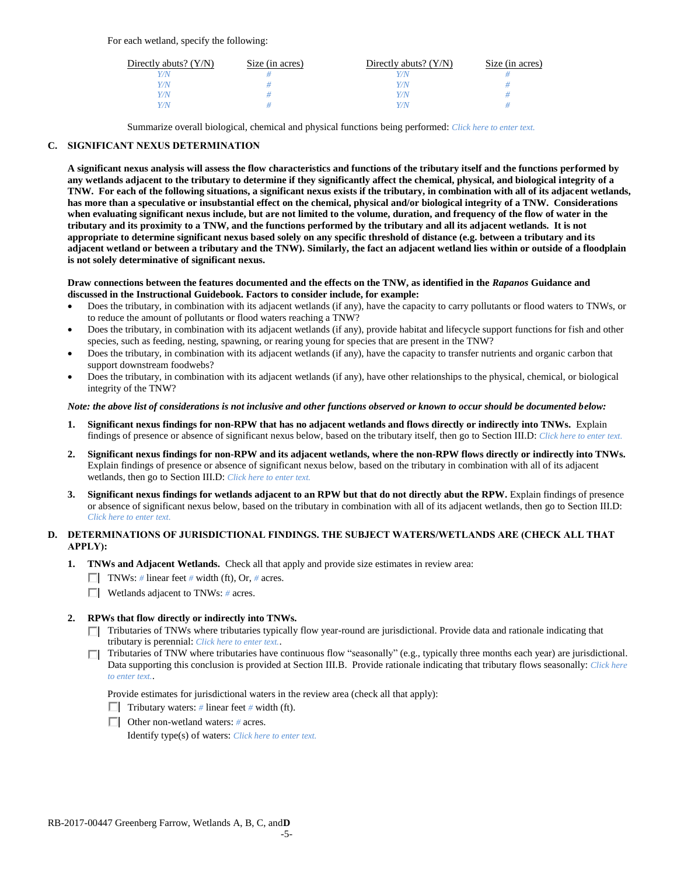For each wetland, specify the following:

| Directly abuts? $(Y/N)$ | Size (in acres) | Directly abuts? $(Y/N)$ | Size (in acres) |
|-------------------------|-----------------|-------------------------|-----------------|
|                         |                 |                         |                 |
| Y/N                     |                 | Y/N                     |                 |
| Y / N                   |                 | Y/N                     |                 |
|                         |                 | Y / N                   |                 |

Summarize overall biological, chemical and physical functions being performed: *Click here to enter text.*

## **C. SIGNIFICANT NEXUS DETERMINATION**

**A significant nexus analysis will assess the flow characteristics and functions of the tributary itself and the functions performed by any wetlands adjacent to the tributary to determine if they significantly affect the chemical, physical, and biological integrity of a TNW. For each of the following situations, a significant nexus exists if the tributary, in combination with all of its adjacent wetlands, has more than a speculative or insubstantial effect on the chemical, physical and/or biological integrity of a TNW. Considerations when evaluating significant nexus include, but are not limited to the volume, duration, and frequency of the flow of water in the tributary and its proximity to a TNW, and the functions performed by the tributary and all its adjacent wetlands. It is not appropriate to determine significant nexus based solely on any specific threshold of distance (e.g. between a tributary and its adjacent wetland or between a tributary and the TNW). Similarly, the fact an adjacent wetland lies within or outside of a floodplain is not solely determinative of significant nexus.** 

### **Draw connections between the features documented and the effects on the TNW, as identified in the** *Rapanos* **Guidance and discussed in the Instructional Guidebook. Factors to consider include, for example:**

- Does the tributary, in combination with its adjacent wetlands (if any), have the capacity to carry pollutants or flood waters to TNWs, or to reduce the amount of pollutants or flood waters reaching a TNW?
- Does the tributary, in combination with its adjacent wetlands (if any), provide habitat and lifecycle support functions for fish and other species, such as feeding, nesting, spawning, or rearing young for species that are present in the TNW?
- Does the tributary, in combination with its adjacent wetlands (if any), have the capacity to transfer nutrients and organic carbon that support downstream foodwebs?
- Does the tributary, in combination with its adjacent wetlands (if any), have other relationships to the physical, chemical, or biological integrity of the TNW?

### *Note: the above list of considerations is not inclusive and other functions observed or known to occur should be documented below:*

- **1. Significant nexus findings for non-RPW that has no adjacent wetlands and flows directly or indirectly into TNWs.** Explain findings of presence or absence of significant nexus below, based on the tributary itself, then go to Section III.D: *Click here to enter text.*
- **2. Significant nexus findings for non-RPW and its adjacent wetlands, where the non-RPW flows directly or indirectly into TNWs.**  Explain findings of presence or absence of significant nexus below, based on the tributary in combination with all of its adjacent wetlands, then go to Section III.D: *Click here to enter text.*
- **3. Significant nexus findings for wetlands adjacent to an RPW but that do not directly abut the RPW.** Explain findings of presence or absence of significant nexus below, based on the tributary in combination with all of its adjacent wetlands, then go to Section III.D: *Click here to enter text.*

## **D. DETERMINATIONS OF JURISDICTIONAL FINDINGS. THE SUBJECT WATERS/WETLANDS ARE (CHECK ALL THAT APPLY):**

- **1. TNWs and Adjacent Wetlands.** Check all that apply and provide size estimates in review area:
	- TNWs: *#* linear feet *#* width (ft), Or, *#* acres.
	- Wetlands adjacent to TNWs: *#* acres.

## **2. RPWs that flow directly or indirectly into TNWs.**

- Tributaries of TNWs where tributaries typically flow year-round are jurisdictional. Provide data and rationale indicating that tributary is perennial: *Click here to enter text.*.
- Tributaries of TNW where tributaries have continuous flow "seasonally" (e.g., typically three months each year) are jurisdictional. Data supporting this conclusion is provided at Section III.B. Provide rationale indicating that tributary flows seasonally: *Click here to enter text.*.

Provide estimates for jurisdictional waters in the review area (check all that apply):

- Tributary waters:  $\#$  linear feet  $\#$  width (ft).
- Other non-wetland waters: *#* acres.

Identify type(s) of waters: *Click here to enter text.*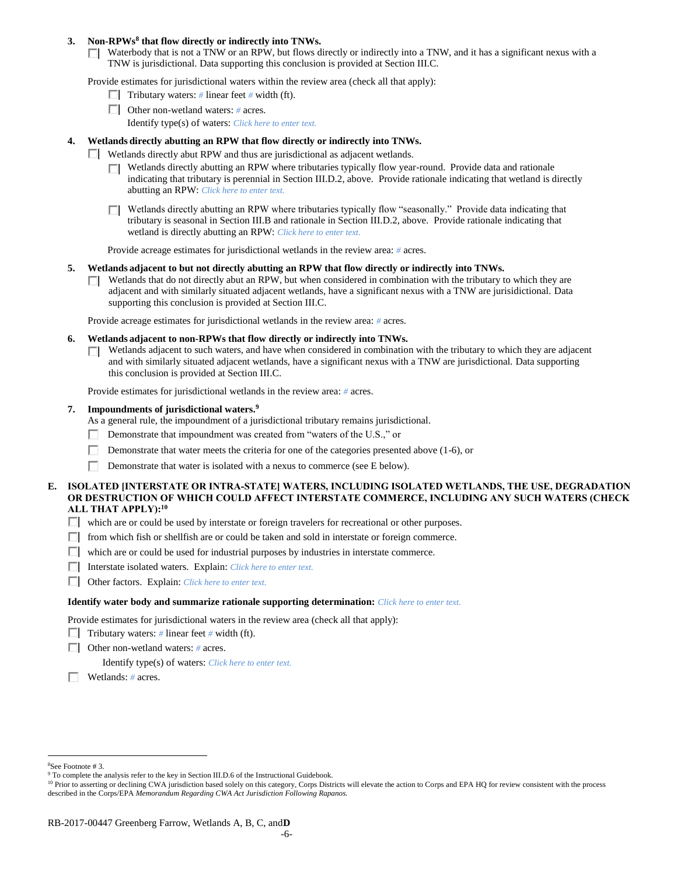### **3. Non-RPWs<sup>8</sup> that flow directly or indirectly into TNWs.**

 $\Box$  Waterbody that is not a TNW or an RPW, but flows directly or indirectly into a TNW, and it has a significant nexus with a TNW is jurisdictional. Data supporting this conclusion is provided at Section III.C.

Provide estimates for jurisdictional waters within the review area (check all that apply):

- **Tributary waters:**  $\#$  linear feet  $\#$  width (ft).
- Other non-wetland waters: *#* acres.
	- Identify type(s) of waters: *Click here to enter text.*

### **4. Wetlands directly abutting an RPW that flow directly or indirectly into TNWs.**

- $\Box$  Wetlands directly abut RPW and thus are jurisdictional as adjacent wetlands.
	- $\Box$  Wetlands directly abutting an RPW where tributaries typically flow year-round. Provide data and rationale indicating that tributary is perennial in Section III.D.2, above. Provide rationale indicating that wetland is directly abutting an RPW: *Click here to enter text.*
	- Wetlands directly abutting an RPW where tributaries typically flow "seasonally." Provide data indicating that П. tributary is seasonal in Section III.B and rationale in Section III.D.2, above. Provide rationale indicating that wetland is directly abutting an RPW: *Click here to enter text.*

Provide acreage estimates for jurisdictional wetlands in the review area: *#* acres.

- **5. Wetlands adjacent to but not directly abutting an RPW that flow directly or indirectly into TNWs.**
	- $\Box$  Wetlands that do not directly abut an RPW, but when considered in combination with the tributary to which they are adjacent and with similarly situated adjacent wetlands, have a significant nexus with a TNW are jurisidictional. Data supporting this conclusion is provided at Section III.C.

Provide acreage estimates for jurisdictional wetlands in the review area: *#* acres.

- **6. Wetlands adjacent to non-RPWs that flow directly or indirectly into TNWs.** 
	- Wetlands adjacent to such waters, and have when considered in combination with the tributary to which they are adjacent п. and with similarly situated adjacent wetlands, have a significant nexus with a TNW are jurisdictional. Data supporting this conclusion is provided at Section III.C.

Provide estimates for jurisdictional wetlands in the review area: *#* acres.

**7. Impoundments of jurisdictional waters. 9**

As a general rule, the impoundment of a jurisdictional tributary remains jurisdictional.

- Demonstrate that impoundment was created from "waters of the U.S.," or
- Demonstrate that water meets the criteria for one of the categories presented above (1-6), or
- п Demonstrate that water is isolated with a nexus to commerce (see E below).
- **E. ISOLATED [INTERSTATE OR INTRA-STATE] WATERS, INCLUDING ISOLATED WETLANDS, THE USE, DEGRADATION OR DESTRUCTION OF WHICH COULD AFFECT INTERSTATE COMMERCE, INCLUDING ANY SUCH WATERS (CHECK ALL THAT APPLY):<sup>10</sup>**
	- $\Box$  which are or could be used by interstate or foreign travelers for recreational or other purposes.
	- $\Box$  from which fish or shellfish are or could be taken and sold in interstate or foreign commerce.
	- $\Box$  which are or could be used for industrial purposes by industries in interstate commerce.
	- Interstate isolated waters.Explain: *Click here to enter text.*
	- Other factors.Explain: *Click here to enter text.*

#### **Identify water body and summarize rationale supporting determination:** *Click here to enter text.*

Provide estimates for jurisdictional waters in the review area (check all that apply):

- **Tributary waters:** # linear feet # width (ft).
- Other non-wetland waters: *#* acres.

Identify type(s) of waters: *Click here to enter text.*

Wetlands: *#* acres.

 $\overline{a}$ <sup>8</sup>See Footnote # 3.

<sup>&</sup>lt;sup>9</sup> To complete the analysis refer to the key in Section III.D.6 of the Instructional Guidebook.

<sup>&</sup>lt;sup>10</sup> Prior to asserting or declining CWA jurisdiction based solely on this category, Corps Districts will elevate the action to Corps and EPA HQ for review consistent with the process described in the Corps/EPA *Memorandum Regarding CWA Act Jurisdiction Following Rapanos.*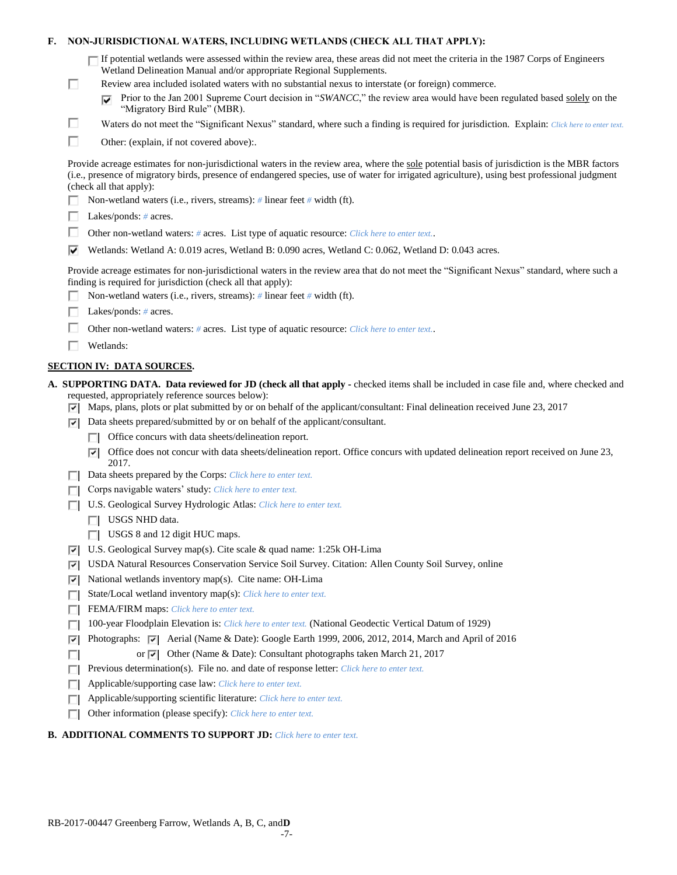## **F. NON-JURISDICTIONAL WATERS, INCLUDING WETLANDS (CHECK ALL THAT APPLY):**

| $\Box$ If potential wetlands were assessed within the review area, these areas did not meet the criteria in the 1987 Corps of Engineers |
|-----------------------------------------------------------------------------------------------------------------------------------------|
| Wetland Delineation Manual and/or appropriate Regional Supplements.                                                                     |

- Review area included isolated waters with no substantial nexus to interstate (or foreign) commerce.
	- Prior to the Jan 2001 Supreme Court decision in "*SWANCC*," the review area would have been regulated based solely on the "Migratory Bird Rule" (MBR).
- Waters do not meet the "Significant Nexus" standard, where such a finding is required for jurisdiction. Explain: Click here to enter text.
- П Other: (explain, if not covered above):.

Provide acreage estimates for non-jurisdictional waters in the review area, where the sole potential basis of jurisdiction is the MBR factors (i.e., presence of migratory birds, presence of endangered species, use of water for irrigated agriculture), using best professional judgment (check all that apply):

- Non-wetland waters (i.e., rivers, streams): *#* linear feet *#* width (ft).
- Lakes/ponds: *#* acres.

П

П

- п. Other non-wetland waters: *#* acres. List type of aquatic resource: *Click here to enter text.*.
- Wetlands: Wetland A: 0.019 acres, Wetland B: 0.090 acres, Wetland C: 0.062, Wetland D: 0.043 acres.

Provide acreage estimates for non-jurisdictional waters in the review area that do not meet the "Significant Nexus" standard, where such a finding is required for jurisdiction (check all that apply):

- Non-wetland waters (i.e., rivers, streams): *#* linear feet *#* width (ft).
- Lakes/ponds: *#* acres.
- П. Other non-wetland waters: *#* acres. List type of aquatic resource: *Click here to enter text.*.
- Wetlands:

## **SECTION IV: DATA SOURCES.**

- **A. SUPPORTING DATA. Data reviewed for JD (check all that apply -** checked items shall be included in case file and, where checked and requested, appropriately reference sources below):
	- $\nabla$  Maps, plans, plots or plat submitted by or on behalf of the applicant/consultant: Final delineation received June 23, 2017
	- $\nabla$  Data sheets prepared/submitted by or on behalf of the applicant/consultant.
		- $\Box$  Office concurs with data sheets/delineation report.
		- $\nabla$  Office does not concur with data sheets/delineation report. Office concurs with updated delineation report received on June 23, 2017.
	- Data sheets prepared by the Corps: *Click here to enter text.*
	- Corps navigable waters' study: *Click here to enter text.*
	- U.S. Geological Survey Hydrologic Atlas: *Click here to enter text.*
		- **TI** USGS NHD data.
		- USGS 8 and 12 digit HUC maps.
	- U.S. Geological Survey map(s). Cite scale & quad name: 1:25k OH-Lima
	- USDA Natural Resources Conservation Service Soil Survey. Citation: Allen County Soil Survey, online
	- $\triangledown$  National wetlands inventory map(s). Cite name: OH-Lima
	- State/Local wetland inventory map(s): *Click here to enter text.*
	- FFEMA/FIRM maps: *Click here to enter text.*
	- 100-year Floodplain Elevation is: *Click here to enter text.* (National Geodectic Vertical Datum of 1929)
	- Photographs:  $\boxed{\bullet}$  Aerial (Name & Date): Google Earth 1999, 2006, 2012, 2014, March and April of 2016
	- $\Box$ or  $\overline{|\mathbf{v}|}$  Other (Name & Date): Consultant photographs taken March 21, 2017
	- **Previous determination(s). File no. and date of response letter:** *Click here to enter text.*
	- Applicable/supporting case law: *Click here to enter text.*
	- Applicable/supporting scientific literature: *Click here to enter text.*
	- Other information (please specify): *Click here to enter text.*

# **B. ADDITIONAL COMMENTS TO SUPPORT JD:** *Click here to enter text.*